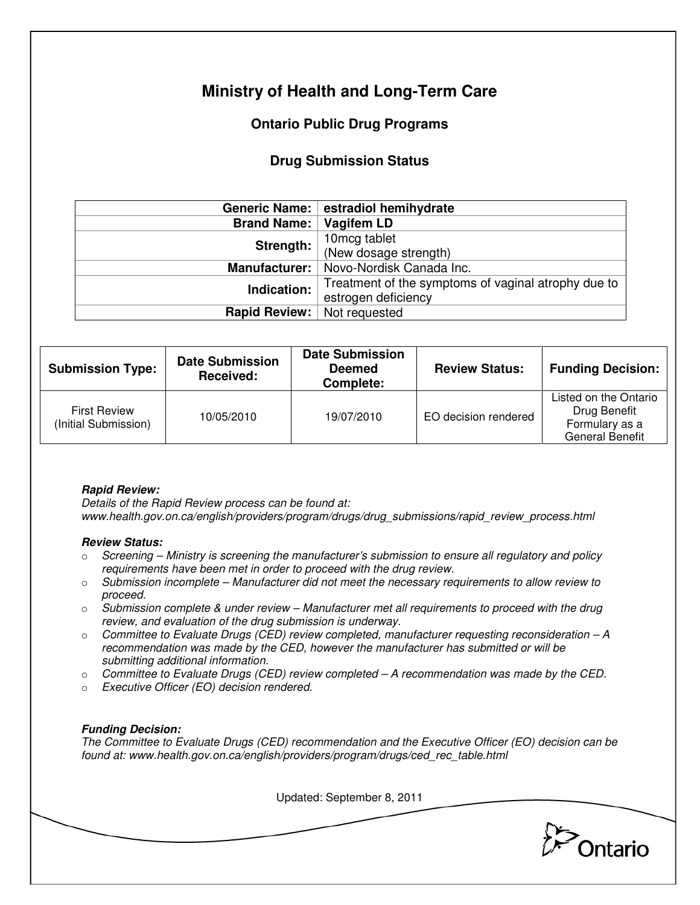# **Ministry of Health and Long-Term Care**

## **Ontario Public Drug Programs**

### **Drug Submission Status**

|                      | Generic Name: estradiol hemihydrate                 |  |  |
|----------------------|-----------------------------------------------------|--|--|
| <b>Brand Name:</b>   | Vagifem LD                                          |  |  |
| Strength:            | 10 <sub>mcg tablet</sub>                            |  |  |
|                      | (New dosage strength)                               |  |  |
| <b>Manufacturer:</b> | Novo-Nordisk Canada Inc.                            |  |  |
| Indication:          | Treatment of the symptoms of vaginal atrophy due to |  |  |
|                      | estrogen deficiency                                 |  |  |
| <b>Rapid Review:</b> | Not requested                                       |  |  |

| <b>Submission Type:</b>                     | <b>Date Submission</b><br>Received: | <b>Date Submission</b><br><b>Deemed</b><br>Complete: | <b>Review Status:</b> | <b>Funding Decision:</b>                                                          |
|---------------------------------------------|-------------------------------------|------------------------------------------------------|-----------------------|-----------------------------------------------------------------------------------|
| <b>First Review</b><br>(Initial Submission) | 10/05/2010                          | 19/07/2010                                           | EO decision rendered  | Listed on the Ontario<br>Drug Benefit<br>Formulary as a<br><b>General Benefit</b> |

#### **Rapid Review:**

Details of the Rapid Review process can be found at: www.health.gov.on.ca/english/providers/program/drugs/drug\_submissions/rapid\_review\_process.html

#### **Review Status:**

- $\circ$  Screening Ministry is screening the manufacturer's submission to ensure all regulatory and policy requirements have been met in order to proceed with the drug review.
- $\circ$  Submission incomplete Manufacturer did not meet the necessary requirements to allow review to proceed.
- $\circ$  Submission complete & under review Manufacturer met all requirements to proceed with the drug review, and evaluation of the drug submission is underway.
- $\circ$  Committee to Evaluate Drugs (CED) review completed, manufacturer requesting reconsideration A recommendation was made by the CED, however the manufacturer has submitted or will be submitting additional information.
- $\circ$  Committee to Evaluate Drugs (CED) review completed  $-A$  recommendation was made by the CED.
- o Executive Officer (EO) decision rendered.

#### **Funding Decision:**

The Committee to Evaluate Drugs (CED) recommendation and the Executive Officer (EO) decision can be found at: www.health.gov.on.ca/english/providers/program/drugs/ced\_rec\_table.html

Updated: September 8, 2011